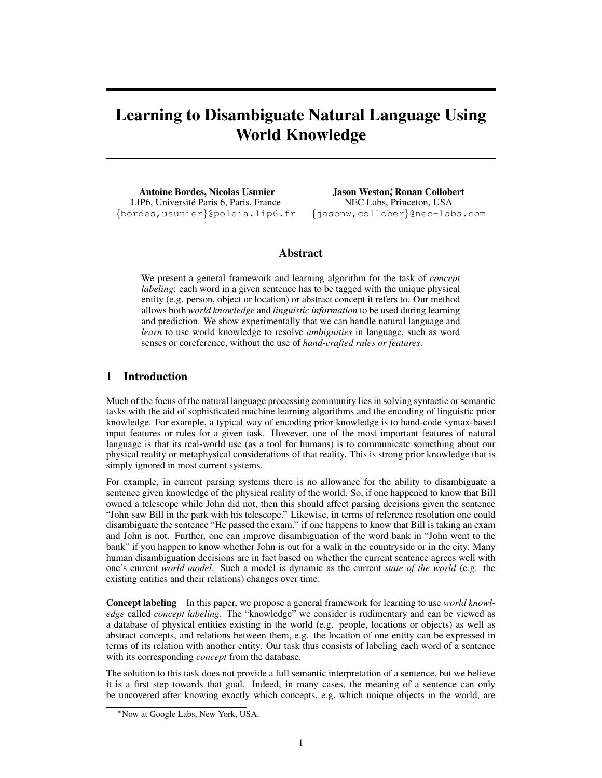# Learning to Disambiguate Natural Language Using World Knowledge

Antoine Bordes, Nicolas Usunier LIP6, Universite Paris 6, Paris, France ´ *{*bordes,usunier*}*@poleia.lip6.fr

Jason Weston∗ , Ronan Collobert NEC Labs, Princeton, USA *{*jasonw,collober*}*@nec-labs.com

# Abstract

We present a general framework and learning algorithm for the task of *concept labeling*: each word in a given sentence has to be tagged with the unique physical entity (e.g. person, object or location) or abstract concept it refers to. Our method allows both *world knowledge* and *linguistic information* to be used during learning and prediction. We show experimentally that we can handle natural language and *learn* to use world knowledge to resolve *ambiguities* in language, such as word senses or coreference, without the use of *hand-crafted rules or features*.

# 1 Introduction

Much of the focus of the natural language processing community lies in solving syntactic or semantic tasks with the aid of sophisticated machine learning algorithms and the encoding of linguistic prior knowledge. For example, a typical way of encoding prior knowledge is to hand-code syntax-based input features or rules for a given task. However, one of the most important features of natural language is that its real-world use (as a tool for humans) is to communicate something about our physical reality or metaphysical considerations of that reality. This is strong prior knowledge that is simply ignored in most current systems.

For example, in current parsing systems there is no allowance for the ability to disambiguate a sentence given knowledge of the physical reality of the world. So, if one happened to know that Bill owned a telescope while John did not, then this should affect parsing decisions given the sentence "John saw Bill in the park with his telescope." Likewise, in terms of reference resolution one could disambiguate the sentence "He passed the exam." if one happens to know that Bill is taking an exam and John is not. Further, one can improve disambiguation of the word bank in "John went to the bank" if you happen to know whether John is out for a walk in the countryside or in the city. Many human disambiguation decisions are in fact based on whether the current sentence agrees well with one's current *world model*. Such a model is dynamic as the current *state of the world* (e.g. the existing entities and their relations) changes over time.

Concept labeling In this paper, we propose a general framework for learning to use *world knowledge* called *concept labeling*. The "knowledge" we consider is rudimentary and can be viewed as a database of physical entities existing in the world (e.g. people, locations or objects) as well as abstract concepts, and relations between them, e.g. the location of one entity can be expressed in terms of its relation with another entity. Our task thus consists of labeling each word of a sentence with its corresponding *concept* from the database.

The solution to this task does not provide a full semantic interpretation of a sentence, but we believe it is a first step towards that goal. Indeed, in many cases, the meaning of a sentence can only be uncovered after knowing exactly which concepts, e.g. which unique objects in the world, are

<sup>∗</sup>Now at Google Labs, New York, USA.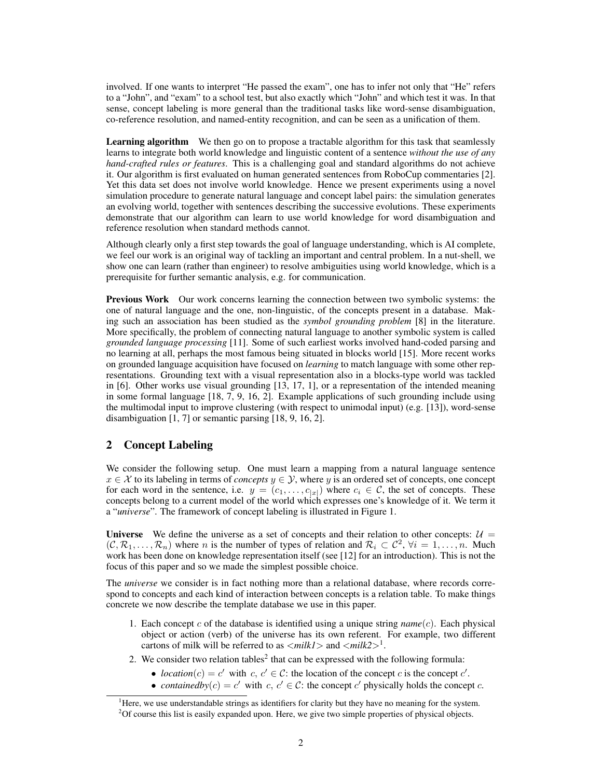involved. If one wants to interpret "He passed the exam", one has to infer not only that "He" refers to a "John", and "exam" to a school test, but also exactly which "John" and which test it was. In that sense, concept labeling is more general than the traditional tasks like word-sense disambiguation, co-reference resolution, and named-entity recognition, and can be seen as a unification of them.

**Learning algorithm** We then go on to propose a tractable algorithm for this task that seamlessly learns to integrate both world knowledge and linguistic content of a sentence *without the use of any hand-crafted rules or features*. This is a challenging goal and standard algorithms do not achieve it. Our algorithm is first evaluated on human generated sentences from RoboCup commentaries [2]. Yet this data set does not involve world knowledge. Hence we present experiments using a novel simulation procedure to generate natural language and concept label pairs: the simulation generates an evolving world, together with sentences describing the successive evolutions. These experiments demonstrate that our algorithm can learn to use world knowledge for word disambiguation and reference resolution when standard methods cannot.

Although clearly only a first step towards the goal of language understanding, which is AI complete, we feel our work is an original way of tackling an important and central problem. In a nut-shell, we show one can learn (rather than engineer) to resolve ambiguities using world knowledge, which is a prerequisite for further semantic analysis, e.g. for communication.

**Previous Work** Our work concerns learning the connection between two symbolic systems: the one of natural language and the one, non-linguistic, of the concepts present in a database. Making such an association has been studied as the *symbol grounding problem* [8] in the literature. More specifically, the problem of connecting natural language to another symbolic system is called *grounded language processing* [11]. Some of such earliest works involved hand-coded parsing and no learning at all, perhaps the most famous being situated in blocks world [15]. More recent works on grounded language acquisition have focused on *learning* to match language with some other representations. Grounding text with a visual representation also in a blocks-type world was tackled in [6]. Other works use visual grounding [13, 17, 1], or a representation of the intended meaning in some formal language [18, 7, 9, 16, 2]. Example applications of such grounding include using the multimodal input to improve clustering (with respect to unimodal input) (e.g. [13]), word-sense disambiguation [1, 7] or semantic parsing [18, 9, 16, 2].

## 2 Concept Labeling

We consider the following setup. One must learn a mapping from a natural language sentence  $x \in \mathcal{X}$  to its labeling in terms of *concepts*  $y \in \mathcal{Y}$ , where *y* is an ordered set of concepts, one concept for each word in the sentence, i.e.  $y = (c_1, \ldots, c_{|x|})$  where  $c_i \in \mathcal{C}$ , the set of concepts. These concepts belong to a current model of the world which expresses one's knowledge of it. We term it a "*universe*". The framework of concept labeling is illustrated in Figure 1.

Universe We define the universe as a set of concepts and their relation to other concepts:  $U =$  $(C, \mathcal{R}_1, \ldots, \mathcal{R}_n)$  where *n* is the number of types of relation and  $\mathcal{R}_i \subset C^2$ ,  $\forall i = 1, \ldots, n$ . Much work has been done on knowledge representation itself (see [12] for an introduction). This is not the focus of this paper and so we made the simplest possible choice.

The *universe* we consider is in fact nothing more than a relational database, where records correspond to concepts and each kind of interaction between concepts is a relation table. To make things concrete we now describe the template database we use in this paper.

- 1. Each concept  $c$  of the database is identified using a unique string  $name(c)$ . Each physical object or action (verb) of the universe has its own referent. For example, two different cartons of milk will be referred to as  $\langle$ *milk1* $>$  and  $\langle$ *milk2* $>$ <sup>1</sup>.
- 2. We consider two relation tables<sup>2</sup> that can be expressed with the following formula:
	- *location*(*c*) = *c*' with *c, c*'  $\in$  *C*: the location of the concept *c* is the concept *c*'.
	- *containedby*(*c*) = *c'* with *c, c'*  $\in$  *C*: the concept *c'* physically holds the concept *c*.

<sup>&</sup>lt;sup>1</sup>Here, we use understandable strings as identifiers for clarity but they have no meaning for the system.  $2$ Of course this list is easily expanded upon. Here, we give two simple properties of physical objects.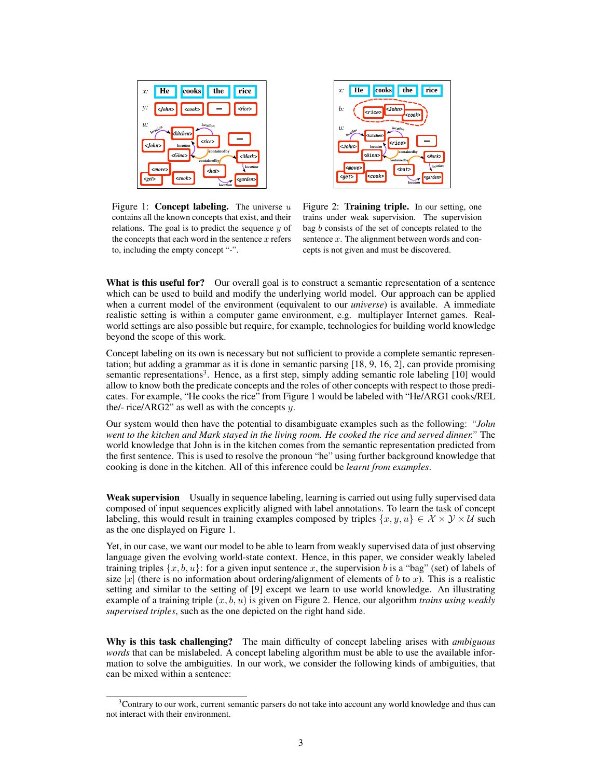

Figure 1: Concept labeling. The universe *u* contains all the known concepts that exist, and their relations. The goal is to predict the sequence *y* of the concepts that each word in the sentence *x* refers to, including the empty concept "-".



Figure 2: **Training triple.** In our setting, one trains under weak supervision. The supervision bag *b* consists of the set of concepts related to the sentence *x*. The alignment between words and concepts is not given and must be discovered.

What is this useful for? Our overall goal is to construct a semantic representation of a sentence which can be used to build and modify the underlying world model. Our approach can be applied when a current model of the environment (equivalent to our *universe*) is available. A immediate realistic setting is within a computer game environment, e.g. multiplayer Internet games. Realworld settings are also possible but require, for example, technologies for building world knowledge beyond the scope of this work.

Concept labeling on its own is necessary but not sufficient to provide a complete semantic representation; but adding a grammar as it is done in semantic parsing [18, 9, 16, 2], can provide promising semantic representations<sup>3</sup>. Hence, as a first step, simply adding semantic role labeling [10] would allow to know both the predicate concepts and the roles of other concepts with respect to those predicates. For example, "He cooks the rice" from Figure 1 would be labeled with "He/ARG1 cooks/REL the/- rice/ARG2" as well as with the concepts *y*.

Our system would then have the potential to disambiguate examples such as the following: *"John went to the kitchen and Mark stayed in the living room. He cooked the rice and served dinner."* The world knowledge that John is in the kitchen comes from the semantic representation predicted from the first sentence. This is used to resolve the pronoun "he" using further background knowledge that cooking is done in the kitchen. All of this inference could be *learnt from examples*.

Weak supervision Usually in sequence labeling, learning is carried out using fully supervised data composed of input sequences explicitly aligned with label annotations. To learn the task of concept labeling, this would result in training examples composed by triples  $\{x, y, u\} \in \mathcal{X} \times \mathcal{Y} \times \mathcal{U}$  such as the one displayed on Figure 1.

Yet, in our case, we want our model to be able to learn from weakly supervised data of just observing language given the evolving world-state context. Hence, in this paper, we consider weakly labeled training triples  $\{x, b, u\}$ : for a given input sentence *x*, the supervision *b* is a "bag" (set) of labels of size  $|x|$  (there is no information about ordering/alignment of elements of *b* to *x*). This is a realistic setting and similar to the setting of [9] except we learn to use world knowledge. An illustrating example of a training triple (*x, b, u*) is given on Figure 2. Hence, our algorithm *trains using weakly supervised triples*, such as the one depicted on the right hand side.

Why is this task challenging? The main difficulty of concept labeling arises with *ambiguous words* that can be mislabeled. A concept labeling algorithm must be able to use the available information to solve the ambiguities. In our work, we consider the following kinds of ambiguities, that can be mixed within a sentence:

<sup>&</sup>lt;sup>3</sup>Contrary to our work, current semantic parsers do not take into account any world knowledge and thus can not interact with their environment.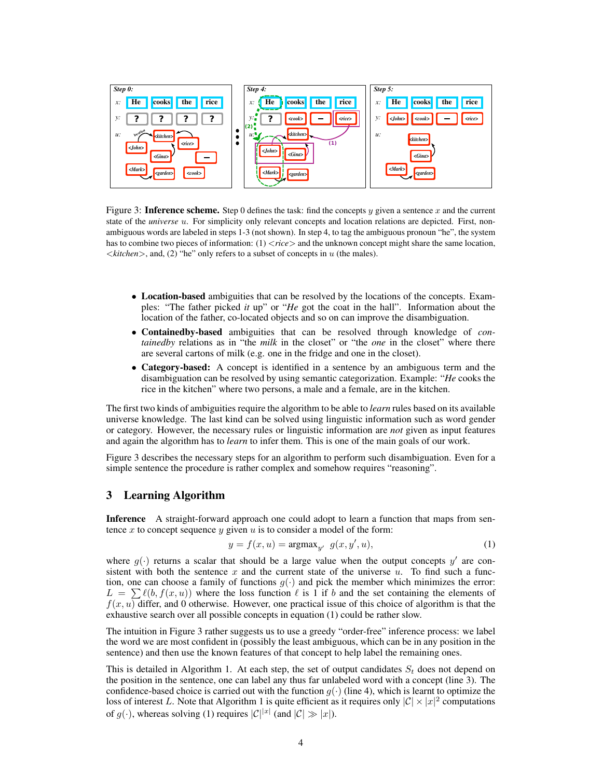

Figure 3: Inference scheme. Step 0 defines the task: find the concepts *y* given a sentence *x* and the current state of the *universe u*. For simplicity only relevant concepts and location relations are depicted. First, nonambiguous words are labeled in steps 1-3 (not shown). In step 4, to tag the ambiguous pronoun "he", the system has to combine two pieces of information: (1) *<rice>* and the unknown concept might share the same location, *<kitchen>*, and, (2) "he" only refers to a subset of concepts in *u* (the males).

- Location-based ambiguities that can be resolved by the locations of the concepts. Examples: "The father picked *it* up" or "*He* got the coat in the hall". Information about the location of the father, co-located objects and so on can improve the disambiguation.
- *•* Containedby-based ambiguities that can be resolved through knowledge of *containedby* relations as in "the *milk* in the closet" or "the *one* in the closet" where there are several cartons of milk (e.g. one in the fridge and one in the closet).
- *•* Category-based: A concept is identified in a sentence by an ambiguous term and the disambiguation can be resolved by using semantic categorization. Example: "*He* cooks the rice in the kitchen" where two persons, a male and a female, are in the kitchen.

The first two kinds of ambiguities require the algorithm to be able to *learn* rules based on its available universe knowledge. The last kind can be solved using linguistic information such as word gender or category. However, the necessary rules or linguistic information are *not* given as input features and again the algorithm has to *learn* to infer them. This is one of the main goals of our work.

Figure 3 describes the necessary steps for an algorithm to perform such disambiguation. Even for a simple sentence the procedure is rather complex and somehow requires "reasoning".

## 3 Learning Algorithm

Inference A straight-forward approach one could adopt to learn a function that maps from sentence  $x$  to concept sequence  $y$  given  $u$  is to consider a model of the form:

$$
y = f(x, u) = \operatorname{argmax}_{y'} g(x, y', u), \tag{1}
$$

where  $g(\cdot)$  returns a scalar that should be a large value when the output concepts  $y'$  are consistent with both the sentence  $x$  and the current state of the universe  $u$ . To find such a function, one can choose a family of functions  $g(\cdot)$  and pick the member which minimizes the error:  $L = \sum \ell(b, f(x, u))$  where the loss function  $\ell$  is 1 if *b* and the set containing the elements of  $f(x, u)$  differ, and 0 otherwise. However, one practical issue of this choice of algorithm is that the exhaustive search over all possible concepts in equation (1) could be rather slow.

The intuition in Figure 3 rather suggests us to use a greedy "order-free" inference process: we label the word we are most confident in (possibly the least ambiguous, which can be in any position in the sentence) and then use the known features of that concept to help label the remaining ones.

This is detailed in Algorithm 1. At each step, the set of output candidates  $S_t$  does not depend on the position in the sentence, one can label any thus far unlabeled word with a concept (line 3). The confidence-based choice is carried out with the function  $g(\cdot)$  (line 4), which is learnt to optimize the loss of interest *L*. Note that Algorithm 1 is quite efficient as it requires only  $|C| \times |x|^2$  computations of  $q(\cdot)$ , whereas solving (1) requires  $|\mathcal{C}|^{x}$  (and  $|\mathcal{C}| \gg |x|$ ).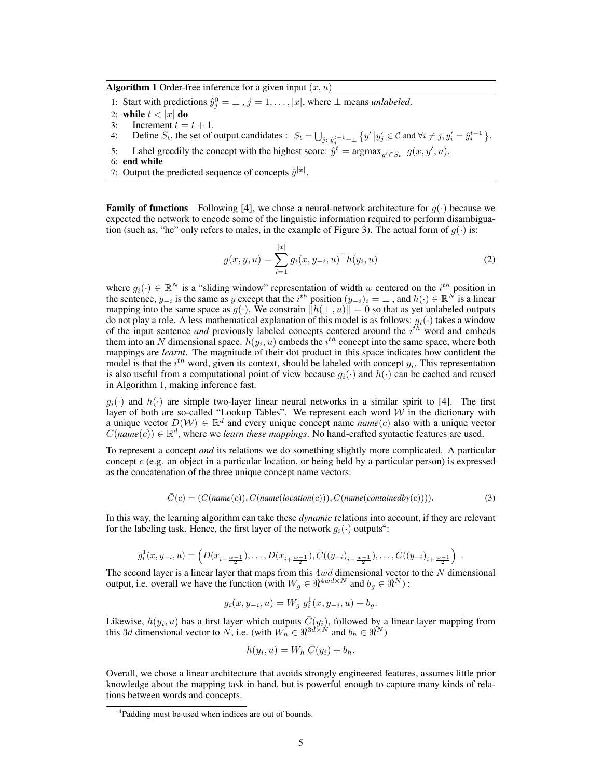**Algorithm 1** Order-free inference for a given input  $(x, u)$ 

- 1: Start with predictions  $\hat{y}_j^0 = \perp$ ,  $j = 1, \ldots, |x|$ , where  $\perp$  means *unlabeled*.
- 2: **while**  $t < |x|$  **do**<br>3: Increment  $t =$
- Increment  $t = t + 1$ .
- 4: Define  $S_t$ , the set of output candidates :  $S_t = \bigcup_{j: \ \hat{y}_j^{t-1} = \bot} \{y' \mid y'_j \in C \text{ and } \forall i \neq j, y'_i = \hat{y}_i^{t-1} \}$ .
- 5: Label greedily the concept with the highest score:  $\hat{y}^t = \argmax_{y' \in S_t} g(x, y', u)$ .
- 6: end while
- 7: Output the predicted sequence of concepts  $\hat{y}^{x}$ .

**Family of functions** Following [4], we chose a neural-network architecture for  $g(\cdot)$  because we expected the network to encode some of the linguistic information required to perform disambiguation (such as, "he" only refers to males, in the example of Figure 3). The actual form of  $g(\cdot)$  is:

$$
g(x, y, u) = \sum_{i=1}^{|x|} g_i(x, y_{-i}, u)^\top h(y_i, u)
$$
 (2)

where  $g_i(\cdot) \in \mathbb{R}^N$  is a "sliding window" representation of width *w* centered on the *i*<sup>th</sup> position in the sentence, *y*<sub>−*i*</sub> is the same as *y* except that the *i*<sup>th</sup> position  $(y_{-i})_i = \bot$ , and  $h(\cdot) \in \mathbb{R}^N$  is a linear mapping into the same space as  $g(\cdot)$ . We constrain  $||h(\perp, u)|| = 0$  so that as yet unlabeled outputs do not play a role. A less mathematical explanation of this model is as follows:  $g_i(\cdot)$  takes a window of the input sentence *and* previously labeled concepts centered around the *i th* word and embeds them into an *N* dimensional space.  $h(y_i, u)$  embeds the  $i<sup>th</sup>$  concept into the same space, where both mappings are *learnt*. The magnitude of their dot product in this space indicates how confident the model is that the  $i^{th}$  word, given its context, should be labeled with concept  $y_i$ . This representation is also useful from a computational point of view because  $g_i(\cdot)$  and  $h(\cdot)$  can be cached and reused in Algorithm 1, making inference fast.

 $g_i(\cdot)$  and  $h(\cdot)$  are simple two-layer linear neural networks in a similar spirit to [4]. The first layer of both are so-called "Lookup Tables". We represent each word  $W$  in the dictionary with a unique vector  $D(W) \in \mathbb{R}^d$  and every unique concept name *name*(*c*) also with a unique vector  $C(name(c)) \in \mathbb{R}^d$ , where we *learn these mappings*. No hand-crafted syntactic features are used.

To represent a concept *and* its relations we do something slightly more complicated. A particular concept *c* (e.g. an object in a particular location, or being held by a particular person) is expressed as the concatenation of the three unique concept name vectors:

$$
\bar{C}(c) = (C(name(c)), C(name(location(c))), C(name(containedby(c))))
$$
 (3)

In this way, the learning algorithm can take these *dynamic* relations into account, if they are relevant for the labeling task. Hence, the first layer of the network  $g_i(\cdot)$  outputs<sup>4</sup>:

$$
g_i^1(x, y_{-i}, u) = \left(D(x_{i-\frac{w-1}{2}}), \ldots, D(x_{i+\frac{w-1}{2}}), \bar{C}((y_{-i})_{i-\frac{w-1}{2}}), \ldots, \bar{C}((y_{-i})_{i+\frac{w-1}{2}})\right).
$$

The second layer is a linear layer that maps from this 4*wd* dimensional vector to the *N* dimensional output, i.e. overall we have the function (with  $W_g \in \mathbb{R}^{4wd \times N}$  and  $b_g \in \mathbb{R}^N$ ) :

$$
g_i(x, y_{-i}, u) = W_g g_i^1(x, y_{-i}, u) + b_g.
$$

Likewise,  $h(y_i, u)$  has a first layer which outputs  $\overline{C}(y_i)$ , followed by a linear layer mapping from this 3*d* dimensional vector to *N*, i.e. (with  $W_h \in \mathbb{R}^{3d \times N}$  and  $b_h \in \mathbb{R}^N$ )

$$
h(y_i, u) = W_h \overline{C}(y_i) + b_h.
$$

Overall, we chose a linear architecture that avoids strongly engineered features, assumes little prior knowledge about the mapping task in hand, but is powerful enough to capture many kinds of relations between words and concepts.

<sup>&</sup>lt;sup>4</sup>Padding must be used when indices are out of bounds.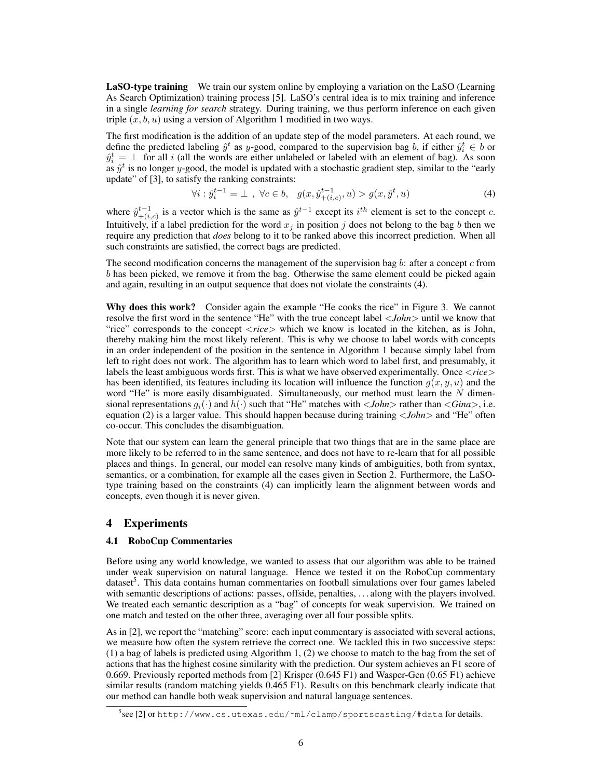LaSO-type training We train our system online by employing a variation on the LaSO (Learning As Search Optimization) training process [5]. LaSO's central idea is to mix training and inference in a single *learning for search* strategy. During training, we thus perform inference on each given triple (*x, b, u*) using a version of Algorithm 1 modified in two ways.

The first modification is the addition of an update step of the model parameters. At each round, we define the predicted labeling  $\hat{y}^t$  as *y*-good, compared to the supervision bag *b*, if either  $\hat{y}_i^t \in b$  or  $\hat{y}_i^t = \perp$  for all *i* (all the words are either unlabeled or labeled with an element of bag). As soon as  $\hat{y}^t$  is no longer *y*-good, the model is updated with a stochastic gradient step, similar to the "early update" of [3], to satisfy the ranking constraints:

$$
\forall i: \hat{y}_i^{t-1} = \bot \ , \ \forall c \in b, \ \ g(x, \hat{y}_{+(i,c)}^{t-1}, u) > g(x, \hat{y}^t, u) \tag{4}
$$

where  $\hat{y}_{+(i,c)}^{t-1}$  is a vector which is the same as  $\hat{y}^{t-1}$  except its  $i^{th}$  element is set to the concept *c*. Intuitively, if a label prediction for the word  $x_j$  in position *j* does not belong to the bag *b* then we require any prediction that *does* belong to it to be ranked above this incorrect prediction. When all such constraints are satisfied, the correct bags are predicted.

The second modification concerns the management of the supervision bag *b*: after a concept *c* from *b* has been picked, we remove it from the bag. Otherwise the same element could be picked again and again, resulting in an output sequence that does not violate the constraints (4).

Why does this work? Consider again the example "He cooks the rice" in Figure 3. We cannot resolve the first word in the sentence "He" with the true concept label *<John>* until we know that "rice" corresponds to the concept *<rice>* which we know is located in the kitchen, as is John, thereby making him the most likely referent. This is why we choose to label words with concepts in an order independent of the position in the sentence in Algorithm 1 because simply label from left to right does not work. The algorithm has to learn which word to label first, and presumably, it labels the least ambiguous words first. This is what we have observed experimentally. Once *<rice>* has been identified, its features including its location will influence the function  $g(x, y, u)$  and the word "He" is more easily disambiguated. Simultaneously, our method must learn the *N* dimensional representations  $q_i(\cdot)$  and  $h(\cdot)$  such that "He" matches with  $\langle John \rangle$  rather than  $\langle Gina \rangle$ , i.e. equation (2) is a larger value. This should happen because during training *<John>* and "He" often co-occur. This concludes the disambiguation.

Note that our system can learn the general principle that two things that are in the same place are more likely to be referred to in the same sentence, and does not have to re-learn that for all possible places and things. In general, our model can resolve many kinds of ambiguities, both from syntax, semantics, or a combination, for example all the cases given in Section 2. Furthermore, the LaSOtype training based on the constraints (4) can implicitly learn the alignment between words and concepts, even though it is never given.

## 4 Experiments

#### 4.1 RoboCup Commentaries

Before using any world knowledge, we wanted to assess that our algorithm was able to be trained under weak supervision on natural language. Hence we tested it on the RoboCup commentary dataset<sup>5</sup>. This data contains human commentaries on football simulations over four games labeled with semantic descriptions of actions: passes, offside, penalties, ... along with the players involved. We treated each semantic description as a "bag" of concepts for weak supervision. We trained on one match and tested on the other three, averaging over all four possible splits.

As in [2], we report the "matching" score: each input commentary is associated with several actions, we measure how often the system retrieve the correct one. We tackled this in two successive steps: (1) a bag of labels is predicted using Algorithm 1, (2) we choose to match to the bag from the set of actions that has the highest cosine similarity with the prediction. Our system achieves an F1 score of 0.669. Previously reported methods from [2] Krisper (0.645 F1) and Wasper-Gen (0.65 F1) achieve similar results (random matching yields 0.465 F1). Results on this benchmark clearly indicate that our method can handle both weak supervision and natural language sentences.

<sup>5</sup> see [2] or http://www.cs.utexas.edu/˜ml/clamp/sportscasting/#data for details.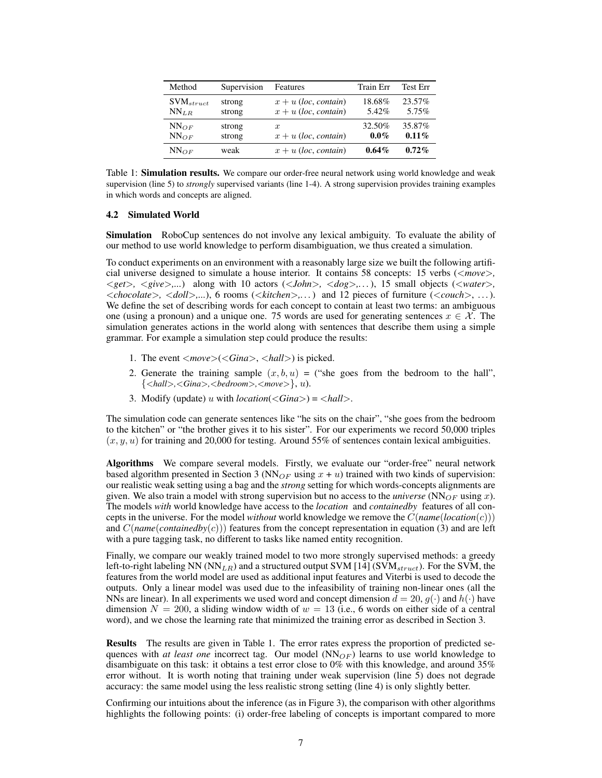| Method                | Supervision | Features               | Train Err | Test Err |
|-----------------------|-------------|------------------------|-----------|----------|
| $\text{SVM}_{struct}$ | strong      | $x + u$ (loc, contain) | 18.68%    | 23.57%   |
| $NN_{LR}$             | strong      | $x + u$ (loc, contain) | 5.42%     | 5.75%    |
| $NN_{OF}$             | strong      | $\boldsymbol{x}$       | 32.50%    | 35.87%   |
| $NN_{OF}$             | strong      | $x + u$ (loc, contain) | $0.0\%$   | $0.11\%$ |
| $NN_{OF}$             | weak        | $x + u$ (loc, contain) | $0.64\%$  | $0.72\%$ |

Table 1: **Simulation results.** We compare our order-free neural network using world knowledge and weak supervision (line 5) to *strongly* supervised variants (line 1-4). A strong supervision provides training examples in which words and concepts are aligned.

#### 4.2 Simulated World

Simulation RoboCup sentences do not involve any lexical ambiguity. To evaluate the ability of our method to use world knowledge to perform disambiguation, we thus created a simulation.

To conduct experiments on an environment with a reasonably large size we built the following artificial universe designed to simulate a house interior. It contains 58 concepts: 15 verbs (*<move>,* <get>, <give>,...) along with 10 actors (<John>, <dog>,...), 15 small objects (<water>, *<chocolate>, <doll>,...*), 6 rooms (*<kitchen>,. . .*) and 12 pieces of furniture (*<couch>*, . . . ). We define the set of describing words for each concept to contain at least two terms: an ambiguous one (using a pronoun) and a unique one. 75 words are used for generating sentences  $x \in \mathcal{X}$ . The simulation generates actions in the world along with sentences that describe them using a simple grammar. For example a simulation step could produce the results:

- 1. The event *<move>*(*<Gina>*, *<hall>*) is picked.
- 2. Generate the training sample  $(x, b, u)$  = ("she goes from the bedroom to the hall", *{<hall>,<Gina>,<bedroom>,<move>}*, *u*).
- 3. Modify (update) *u* with *location*(*<Gina>*) = *<hall>*.

The simulation code can generate sentences like "he sits on the chair", "she goes from the bedroom to the kitchen" or "the brother gives it to his sister". For our experiments we record 50,000 triples  $(x, y, u)$  for training and 20,000 for testing. Around 55% of sentences contain lexical ambiguities.

Algorithms We compare several models. Firstly, we evaluate our "order-free" neural network based algorithm presented in Section 3 ( $NN<sub>OF</sub>$  using  $x + u$ ) trained with two kinds of supervision: our realistic weak setting using a bag and the *strong* setting for which words-concepts alignments are given. We also train a model with strong supervision but no access to the *universe* (NN*OF* using *x*). The models *with* world knowledge have access to the *location* and *containedby* features of all concepts in the universe. For the model *without* world knowledge we remove the  $C(name(location(c)))$ and  $C(name(containedby(c)))$  features from the concept representation in equation (3) and are left with a pure tagging task, no different to tasks like named entity recognition.

Finally, we compare our weakly trained model to two more strongly supervised methods: a greedy left-to-right labeling NN (NN*LR*) and a structured output SVM [14] (SVM*struct*). For the SVM, the features from the world model are used as additional input features and Viterbi is used to decode the outputs. Only a linear model was used due to the infeasibility of training non-linear ones (all the NNs are linear). In all experiments we used word and concept dimension  $d = 20$ ,  $q(\cdot)$  and  $h(\cdot)$  have dimension  $N = 200$ , a sliding window width of  $w = 13$  (i.e., 6 words on either side of a central word), and we chose the learning rate that minimized the training error as described in Section 3.

Results The results are given in Table 1. The error rates express the proportion of predicted sequences with *at least one* incorrect tag. Our model (NN<sub>OF</sub>) learns to use world knowledge to disambiguate on this task: it obtains a test error close to 0% with this knowledge, and around 35% error without. It is worth noting that training under weak supervision (line 5) does not degrade accuracy: the same model using the less realistic strong setting (line 4) is only slightly better.

Confirming our intuitions about the inference (as in Figure 3), the comparison with other algorithms highlights the following points: (i) order-free labeling of concepts is important compared to more